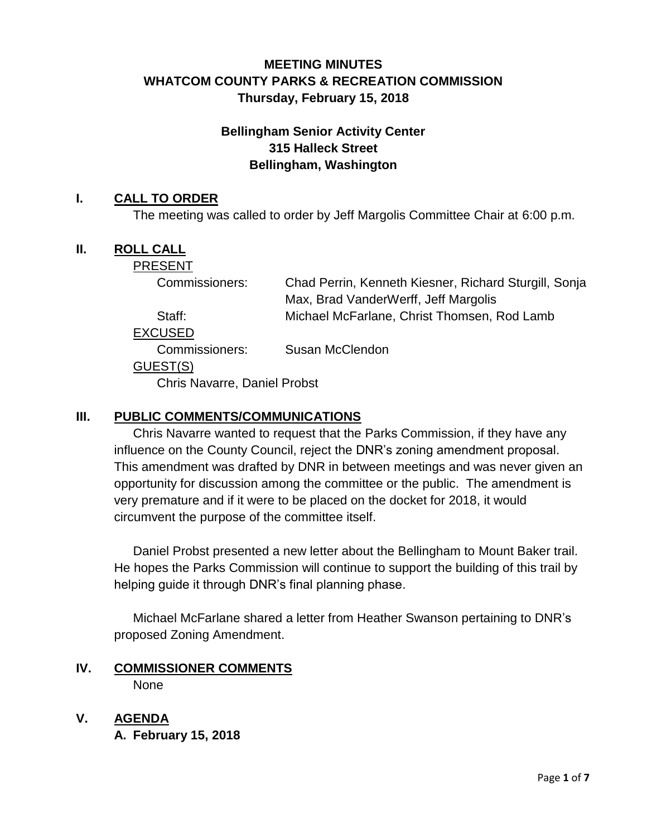# **MEETING MINUTES WHATCOM COUNTY PARKS & RECREATION COMMISSION Thursday, February 15, 2018**

# **Bellingham Senior Activity Center 315 Halleck Street Bellingham, Washington**

### **I. CALL TO ORDER**

The meeting was called to order by Jeff Margolis Committee Chair at 6:00 p.m.

#### **II. ROLL CALL**

PRESENT

Commissioners: Chad Perrin, Kenneth Kiesner, Richard Sturgill, Sonja Max, Brad VanderWerff, Jeff Margolis Staff: Michael McFarlane, Christ Thomsen, Rod Lamb

EXCUSED

Commissioners: Susan McClendon

#### GUEST(S)

Chris Navarre, Daniel Probst

### **III. PUBLIC COMMENTS/COMMUNICATIONS**

Chris Navarre wanted to request that the Parks Commission, if they have any influence on the County Council, reject the DNR's zoning amendment proposal. This amendment was drafted by DNR in between meetings and was never given an opportunity for discussion among the committee or the public. The amendment is very premature and if it were to be placed on the docket for 2018, it would circumvent the purpose of the committee itself.

Daniel Probst presented a new letter about the Bellingham to Mount Baker trail. He hopes the Parks Commission will continue to support the building of this trail by helping guide it through DNR's final planning phase.

Michael McFarlane shared a letter from Heather Swanson pertaining to DNR's proposed Zoning Amendment.

#### **IV. COMMISSIONER COMMENTS** None

**V. AGENDA**

**A. February 15, 2018**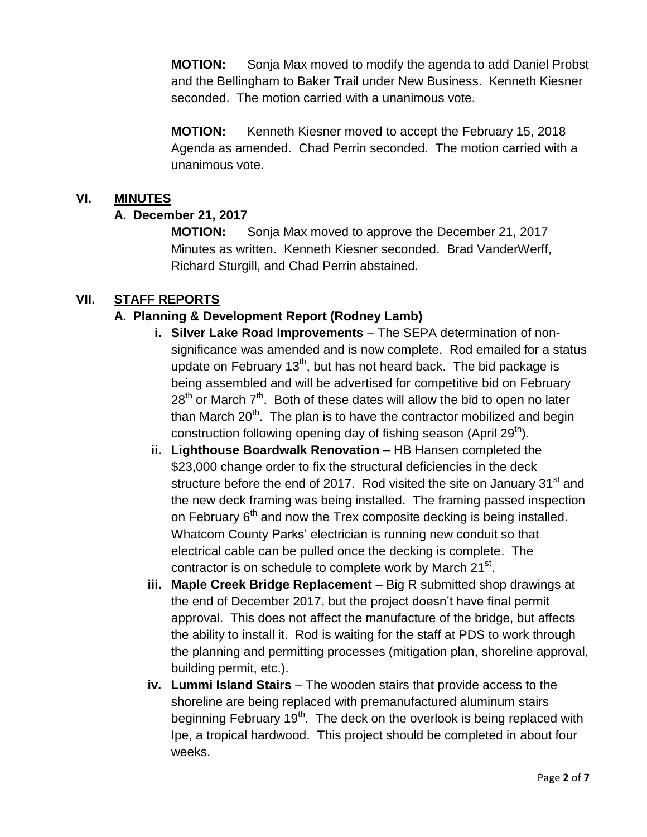**MOTION:** Sonja Max moved to modify the agenda to add Daniel Probst and the Bellingham to Baker Trail under New Business. Kenneth Kiesner seconded. The motion carried with a unanimous vote.

**MOTION:** Kenneth Kiesner moved to accept the February 15, 2018 Agenda as amended. Chad Perrin seconded. The motion carried with a unanimous vote.

### **VI. MINUTES**

## **A. December 21, 2017**

**MOTION:** Sonja Max moved to approve the December 21, 2017 Minutes as written. Kenneth Kiesner seconded. Brad VanderWerff, Richard Sturgill, and Chad Perrin abstained.

## **VII. STAFF REPORTS**

## **A. Planning & Development Report (Rodney Lamb)**

- **i. Silver Lake Road Improvements**  The SEPA determination of nonsignificance was amended and is now complete. Rod emailed for a status update on February  $13<sup>th</sup>$ , but has not heard back. The bid package is being assembled and will be advertised for competitive bid on February  $28<sup>th</sup>$  or March  $7<sup>th</sup>$ . Both of these dates will allow the bid to open no later than March  $20<sup>th</sup>$ . The plan is to have the contractor mobilized and begin construction following opening day of fishing season (April 29<sup>th</sup>).
- **ii. Lighthouse Boardwalk Renovation –** HB Hansen completed the \$23,000 change order to fix the structural deficiencies in the deck structure before the end of 2017. Rod visited the site on January  $31<sup>st</sup>$  and the new deck framing was being installed. The framing passed inspection on February  $6<sup>th</sup>$  and now the Trex composite decking is being installed. Whatcom County Parks' electrician is running new conduit so that electrical cable can be pulled once the decking is complete. The contractor is on schedule to complete work by March 21<sup>st</sup>.
- **iii. Maple Creek Bridge Replacement** Big R submitted shop drawings at the end of December 2017, but the project doesn't have final permit approval. This does not affect the manufacture of the bridge, but affects the ability to install it. Rod is waiting for the staff at PDS to work through the planning and permitting processes (mitigation plan, shoreline approval, building permit, etc.).
- **iv. Lummi Island Stairs**  The wooden stairs that provide access to the shoreline are being replaced with premanufactured aluminum stairs beginning February 19<sup>th</sup>. The deck on the overlook is being replaced with Ipe, a tropical hardwood. This project should be completed in about four weeks.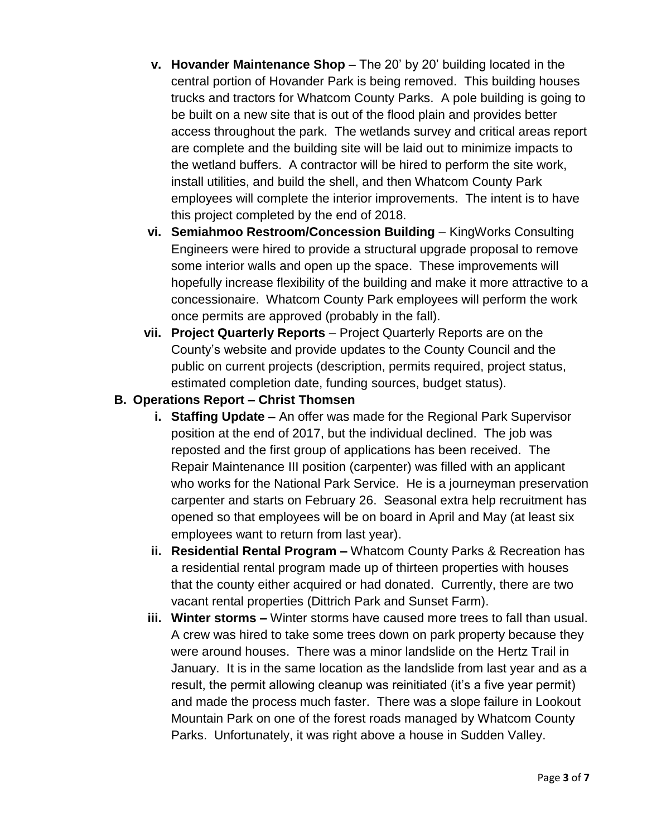- **v.** Hovander Maintenance Shop The 20' by 20' building located in the central portion of Hovander Park is being removed. This building houses trucks and tractors for Whatcom County Parks. A pole building is going to be built on a new site that is out of the flood plain and provides better access throughout the park. The wetlands survey and critical areas report are complete and the building site will be laid out to minimize impacts to the wetland buffers. A contractor will be hired to perform the site work, install utilities, and build the shell, and then Whatcom County Park employees will complete the interior improvements. The intent is to have this project completed by the end of 2018.
- **vi. Semiahmoo Restroom/Concession Building**  KingWorks Consulting Engineers were hired to provide a structural upgrade proposal to remove some interior walls and open up the space. These improvements will hopefully increase flexibility of the building and make it more attractive to a concessionaire. Whatcom County Park employees will perform the work once permits are approved (probably in the fall).
- **vii. Project Quarterly Reports** Project Quarterly Reports are on the County's website and provide updates to the County Council and the public on current projects (description, permits required, project status, estimated completion date, funding sources, budget status).
- **B. Operations Report – Christ Thomsen**
	- **i. Staffing Update –** An offer was made for the Regional Park Supervisor position at the end of 2017, but the individual declined. The job was reposted and the first group of applications has been received. The Repair Maintenance III position (carpenter) was filled with an applicant who works for the National Park Service. He is a journeyman preservation carpenter and starts on February 26. Seasonal extra help recruitment has opened so that employees will be on board in April and May (at least six employees want to return from last year).
	- **ii. Residential Rental Program –** Whatcom County Parks & Recreation has a residential rental program made up of thirteen properties with houses that the county either acquired or had donated. Currently, there are two vacant rental properties (Dittrich Park and Sunset Farm).
	- **iii. Winter storms –** Winter storms have caused more trees to fall than usual. A crew was hired to take some trees down on park property because they were around houses. There was a minor landslide on the Hertz Trail in January. It is in the same location as the landslide from last year and as a result, the permit allowing cleanup was reinitiated (it's a five year permit) and made the process much faster. There was a slope failure in Lookout Mountain Park on one of the forest roads managed by Whatcom County Parks. Unfortunately, it was right above a house in Sudden Valley.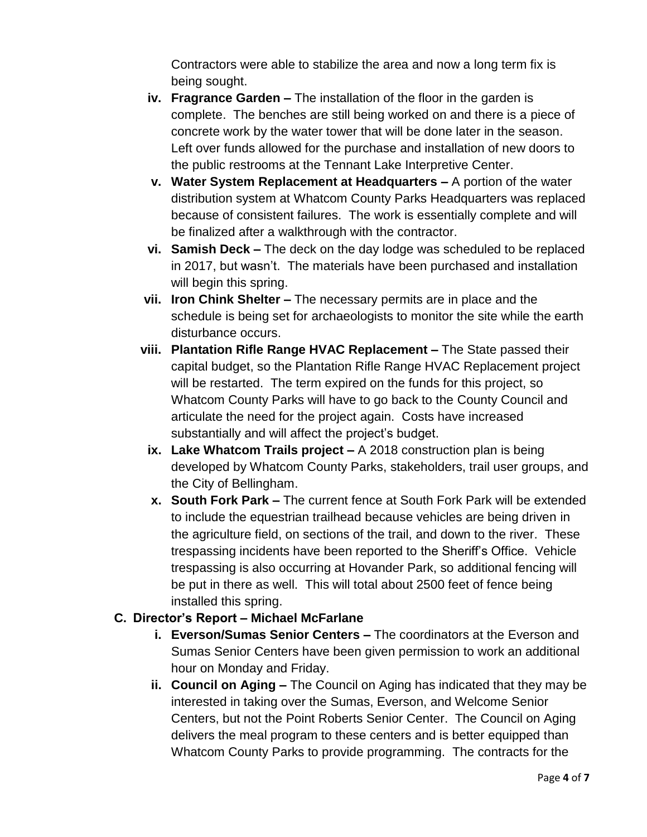Contractors were able to stabilize the area and now a long term fix is being sought.

- **iv. Fragrance Garden –** The installation of the floor in the garden is complete. The benches are still being worked on and there is a piece of concrete work by the water tower that will be done later in the season. Left over funds allowed for the purchase and installation of new doors to the public restrooms at the Tennant Lake Interpretive Center.
- **v. Water System Replacement at Headquarters –** A portion of the water distribution system at Whatcom County Parks Headquarters was replaced because of consistent failures. The work is essentially complete and will be finalized after a walkthrough with the contractor.
- **vi. Samish Deck –** The deck on the day lodge was scheduled to be replaced in 2017, but wasn't. The materials have been purchased and installation will begin this spring.
- **vii. Iron Chink Shelter –** The necessary permits are in place and the schedule is being set for archaeologists to monitor the site while the earth disturbance occurs.
- **viii. Plantation Rifle Range HVAC Replacement –** The State passed their capital budget, so the Plantation Rifle Range HVAC Replacement project will be restarted. The term expired on the funds for this project, so Whatcom County Parks will have to go back to the County Council and articulate the need for the project again. Costs have increased substantially and will affect the project's budget.
- **ix. Lake Whatcom Trails project –** A 2018 construction plan is being developed by Whatcom County Parks, stakeholders, trail user groups, and the City of Bellingham.
- **x. South Fork Park –** The current fence at South Fork Park will be extended to include the equestrian trailhead because vehicles are being driven in the agriculture field, on sections of the trail, and down to the river. These trespassing incidents have been reported to the Sheriff's Office. Vehicle trespassing is also occurring at Hovander Park, so additional fencing will be put in there as well. This will total about 2500 feet of fence being installed this spring.

## **C. Director's Report – Michael McFarlane**

- **i. Everson/Sumas Senior Centers –** The coordinators at the Everson and Sumas Senior Centers have been given permission to work an additional hour on Monday and Friday.
- **ii. Council on Aging –** The Council on Aging has indicated that they may be interested in taking over the Sumas, Everson, and Welcome Senior Centers, but not the Point Roberts Senior Center. The Council on Aging delivers the meal program to these centers and is better equipped than Whatcom County Parks to provide programming. The contracts for the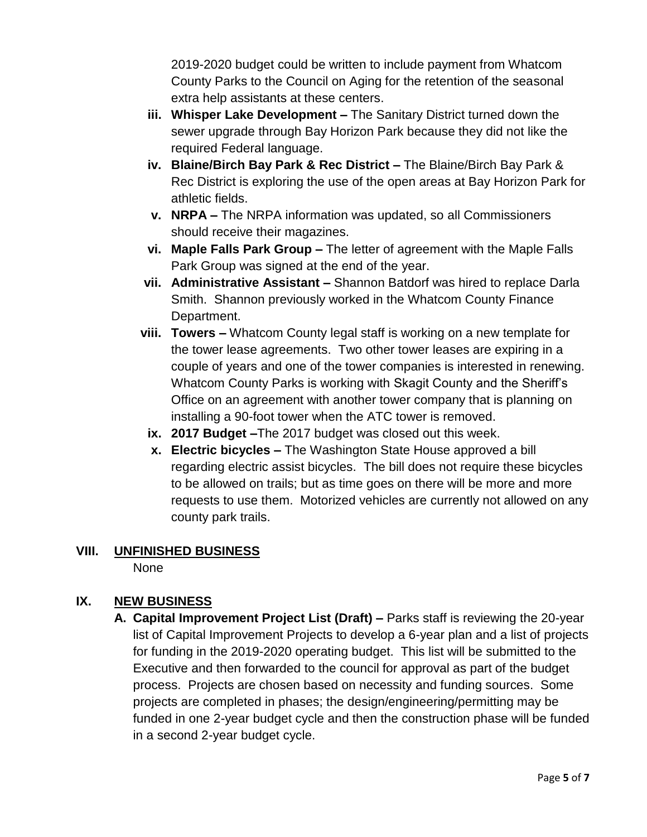2019-2020 budget could be written to include payment from Whatcom County Parks to the Council on Aging for the retention of the seasonal extra help assistants at these centers.

- **iii. Whisper Lake Development –** The Sanitary District turned down the sewer upgrade through Bay Horizon Park because they did not like the required Federal language.
- **iv. Blaine/Birch Bay Park & Rec District –** The Blaine/Birch Bay Park & Rec District is exploring the use of the open areas at Bay Horizon Park for athletic fields.
- **v. NRPA –** The NRPA information was updated, so all Commissioners should receive their magazines.
- **vi. Maple Falls Park Group –** The letter of agreement with the Maple Falls Park Group was signed at the end of the year.
- **vii. Administrative Assistant –** Shannon Batdorf was hired to replace Darla Smith. Shannon previously worked in the Whatcom County Finance Department.
- **viii. Towers –** Whatcom County legal staff is working on a new template for the tower lease agreements. Two other tower leases are expiring in a couple of years and one of the tower companies is interested in renewing. Whatcom County Parks is working with Skagit County and the Sheriff's Office on an agreement with another tower company that is planning on installing a 90-foot tower when the ATC tower is removed.
	- **ix. 2017 Budget –**The 2017 budget was closed out this week.
	- **x. Electric bicycles –** The Washington State House approved a bill regarding electric assist bicycles. The bill does not require these bicycles to be allowed on trails; but as time goes on there will be more and more requests to use them. Motorized vehicles are currently not allowed on any county park trails.

### **VIII. UNFINISHED BUSINESS**

None

## **IX. NEW BUSINESS**

**A. Capital Improvement Project List (Draft) –** Parks staff is reviewing the 20-year list of Capital Improvement Projects to develop a 6-year plan and a list of projects for funding in the 2019-2020 operating budget. This list will be submitted to the Executive and then forwarded to the council for approval as part of the budget process. Projects are chosen based on necessity and funding sources. Some projects are completed in phases; the design/engineering/permitting may be funded in one 2-year budget cycle and then the construction phase will be funded in a second 2-year budget cycle.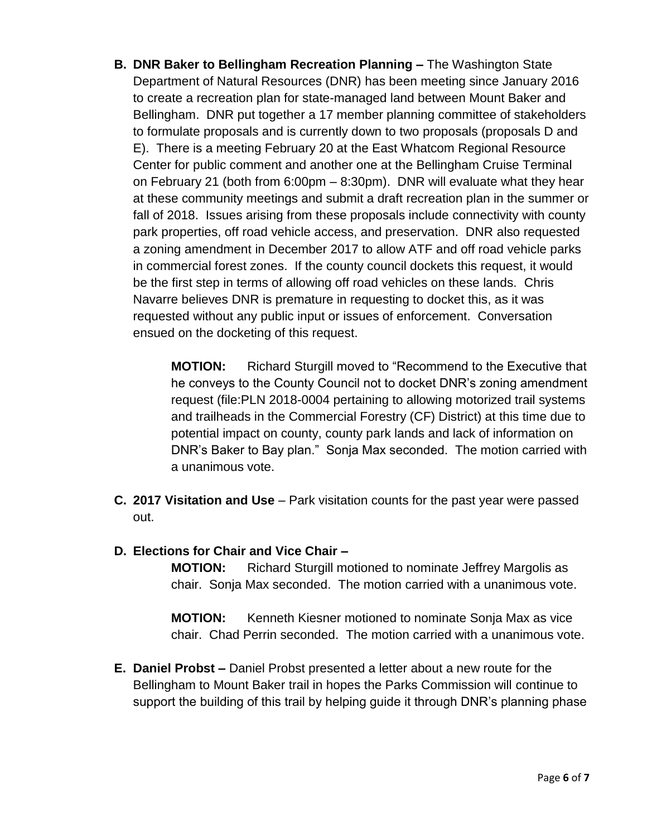**B. DNR Baker to Bellingham Recreation Planning –** The Washington State Department of Natural Resources (DNR) has been meeting since January 2016 to create a recreation plan for state-managed land between Mount Baker and Bellingham. DNR put together a 17 member planning committee of stakeholders to formulate proposals and is currently down to two proposals (proposals D and E). There is a meeting February 20 at the East Whatcom Regional Resource Center for public comment and another one at the Bellingham Cruise Terminal on February 21 (both from 6:00pm – 8:30pm). DNR will evaluate what they hear at these community meetings and submit a draft recreation plan in the summer or fall of 2018. Issues arising from these proposals include connectivity with county park properties, off road vehicle access, and preservation. DNR also requested a zoning amendment in December 2017 to allow ATF and off road vehicle parks in commercial forest zones. If the county council dockets this request, it would be the first step in terms of allowing off road vehicles on these lands. Chris Navarre believes DNR is premature in requesting to docket this, as it was requested without any public input or issues of enforcement. Conversation ensued on the docketing of this request.

> **MOTION:** Richard Sturgill moved to "Recommend to the Executive that he conveys to the County Council not to docket DNR's zoning amendment request (file:PLN 2018-0004 pertaining to allowing motorized trail systems and trailheads in the Commercial Forestry (CF) District) at this time due to potential impact on county, county park lands and lack of information on DNR's Baker to Bay plan." Sonja Max seconded. The motion carried with a unanimous vote.

- **C. 2017 Visitation and Use**  Park visitation counts for the past year were passed out.
- **D. Elections for Chair and Vice Chair –**

**MOTION:** Richard Sturgill motioned to nominate Jeffrey Margolis as chair. Sonja Max seconded. The motion carried with a unanimous vote.

**MOTION:** Kenneth Kiesner motioned to nominate Sonja Max as vice chair. Chad Perrin seconded. The motion carried with a unanimous vote.

**E. Daniel Probst –** Daniel Probst presented a letter about a new route for the Bellingham to Mount Baker trail in hopes the Parks Commission will continue to support the building of this trail by helping guide it through DNR's planning phase